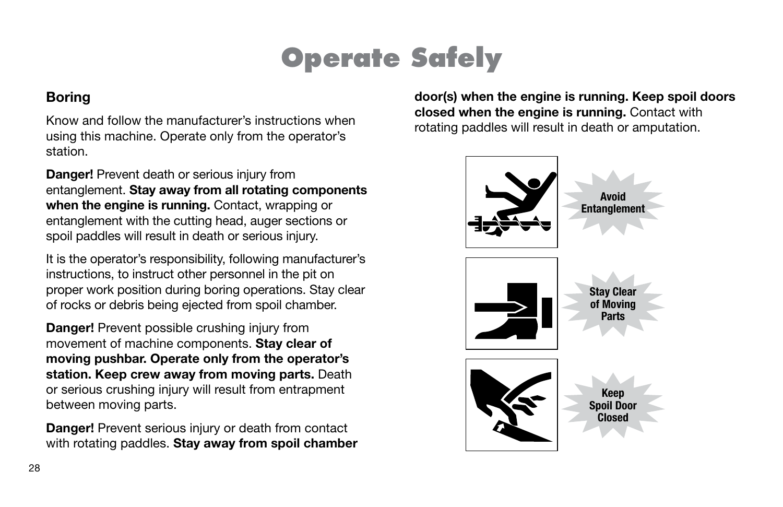### Boring

Know and follow the manufacturer's instructions when using this machine. Operate only from the operator's station.

**Danger!** Prevent death or serious injury from entanglement. Stay away from all rotating components when the engine is running. Contact, wrapping or entanglement with the cutting head, auger sections or spoil paddles will result in death or serious injury.

It is the operator's responsibility, following manufacturer's instructions, to instruct other personnel in the pit on proper work position during boring operations. Stay clear of rocks or debris being ejected from spoil chamber.

**Danger!** Prevent possible crushing injury from movement of machine components. Stay clear of moving pushbar. Operate only from the operator's station. Keep crew away from moving parts. Death or serious crushing injury will result from entrapment between moving parts.

Danger! Prevent serious injury or death from contact with rotating paddles. Stay away from spoil chamber door(s) when the engine is running. Keep spoil doors closed when the engine is running. Contact with rotating paddles will result in death or amputation.

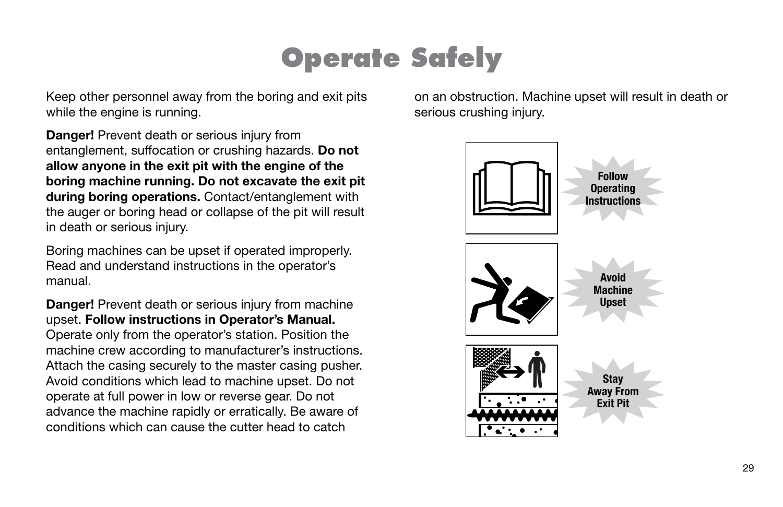Keep other personnel away from the boring and exit pits while the engine is running.

**Danger!** Prevent death or serious injury from entanglement, suffocation or crushing hazards. Do not allow anyone in the exit pit with the engine of the boring machine running. Do not excavate the exit pit during boring operations. Contact/entanglement with the auger or boring head or collapse of the pit will result in death or serious injury.

Boring machines can be upset if operated improperly. Read and understand instructions in the operator's manual.

Danger! Prevent death or serious injury from machine upset. Follow instructions in Operator's Manual. Operate only from the operator's station. Position the machine crew according to manufacturer's instructions. Attach the casing securely to the master casing pusher. Avoid conditions which lead to machine upset. Do not operate at full power in low or reverse gear. Do not advance the machine rapidly or erratically. Be aware of conditions which can cause the cutter head to catch

on an obstruction. Machine upset will result in death or serious crushing injury.

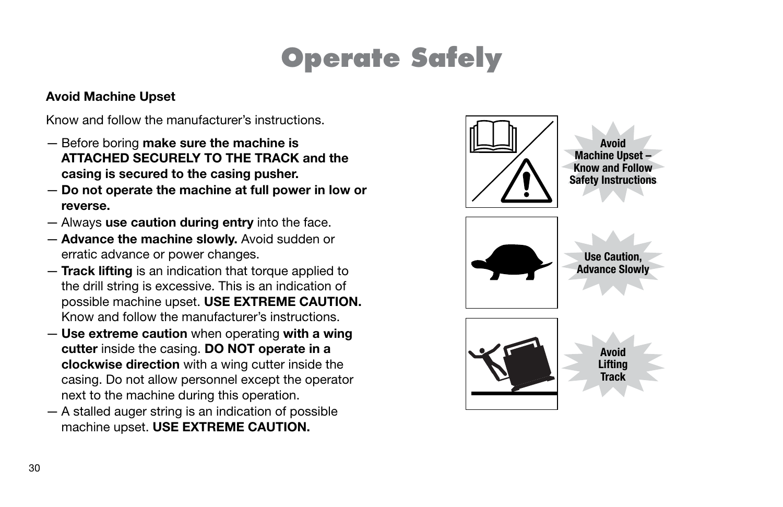#### Avoid Machine Upset

Know and follow the manufacturer's instructions.

- Before boring make sure the machine is ATTACHED SECURELY TO THE TRACK and the casing is secured to the casing pusher.
- Do not operate the machine at full power in low or reverse.
- Always use caution during entry into the face.
- Advance the machine slowly. Avoid sudden or erratic advance or power changes.
- Track lifting is an indication that torque applied to the drill string is excessive. This is an indication of possible machine upset. USE EXTREME CAUTION. Know and follow the manufacturer's instructions.
- Use extreme caution when operating with a wing cutter inside the casing. DO NOT operate in a clockwise direction with a wing cutter inside the casing. Do not allow personnel except the operator next to the machine during this operation.
- A stalled auger string is an indication of possible machine upset. USE EXTREME CAUTION.